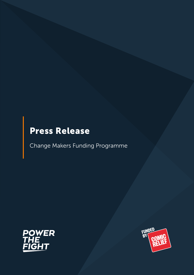# Press Release

Change Makers Funding Programme



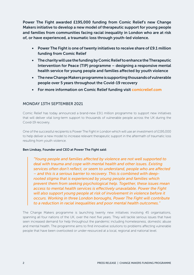Power The Fight awarded £195,000 funding from Comic Relief's new Change Makers initiative to develop a new model of therapeutic support for young people and families from communities facing racial inequality in London who are at risk of, or have experienced, a traumatic loss through youth-led violence.

- Power The Fight is one of twenty initiatives to receive share of £9.1 million funding from Comic Relief
- The charity will use the funding by Comic Relief to enhance the Therapeutic Intervention for Peace (TIP) programme – designing a responsive mental health service for young people and families affected by youth violence
- The new Change Makers programme is supporting thousands of vulnerable people over 5 years throughout the Covid-19 recovery
- For more information on Comic Relief funding visit [comicrelief.com](https://www.comicrelief.com/)

# MONDAY 13TH SEPTEMBER 2021

Comic Relief has today announced a brand-new £9.1 million programme to support new initiatives that will deliver vital long-term support to thousands of vulnerable people across the UK during the Covid-19 recovery.

One of the successful recipients is Power The Fight in London which will use an investment of £195,000 to help deliver a new model to increase relevant therapeutic support in the aftermath of traumatic loss resulting from youth violence.

### Ben Lindsay, Founder and CEO at Power The Fight said:

*"Young people and families affected by violence are not well supported to deal with trauma and cope with mental health and other issues. Existing services often don't reflect, or seem to understand, people who are affected – and this is a serious barrier to recovery. This is combined with deeprooted stigma that is experienced by young people and families which prevent them from seeking psychological help. Together, these issues mean access to mental health services is effectively unavailable. Power the Fight will also support young people at risk of involvement in violence before it occurs. Working in three London boroughs, Power The Fight will contribute to a reduction in racial inequalities and poor mental health outcomes."*

The Change Makers programme is launching twenty new initiatives involving 45 organisations, spanning all four nations of the UK, over the next five years. They will tackle serious issues that have seen increased demand for help throughout the pandemic including homelessness, domestic abuse and mental health. The programme aims to find innovative solutions to problems affecting vulnerable people that have been overlooked or under-resourced at a local, regional and national level.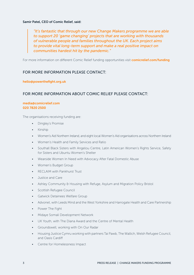#### Samir Patel, CEO of Comic Relief, said:

*"It's fantastic that through our new Change Makers programme we are able to support 20 'game changing' projects that are working with thousands of vulnerable people and families throughout the UK. Each project aims to provide vital long-term support and make a real positive impact on communities hardest hit by the pandemic."*

For more information on different Comic Relief funding opportunities visit [comicrelief.com/funding](https://www.comicrelief.com/funding)

## FOR MORE INFORMATION PLEASE CONTACT:

#### [hello@powerthefight.org.uk](mailto:hello%40powerthefight.org.uk?subject=)

## FOR MORE INFORMATION ABOUT COMIC RELIEF PLEASE CONTACT:

#### [media@comicrelief.com](mailto:media%40comicrelief.com?subject=) 020 7820 2500

The organisations receiving funding are:

- Dingley's Promise
- Kinship
- Women's Aid Northern Ireland, and eight local Women's Aid organisations across Northern Ireland
- Women's Health and Family Services and Ratio
- Southall Black Sisters with Angelou Centre, Latin American Women's Rights Service, Safety for Sisters and Ubuntu Women's Shelter
- Wearside Women In Need with Advocacy After Fatal Domestic Abuse
- Women's Budget Group
- **RECLAIM with Pankhurst Trust**
- Justice and Care
- Ashley Community & Housing with Refuge, Asylum and Migration Policy Bristol
- Scottish Refugee Council
- Gatwick Detainees Welfare Group
- Advonet, with Leeds Mind and the West Yorkshire and Harrogate Health and Care Partnership
- Power The Fight
- Midaye Somali Development Network
- UK Youth, with The Diana Award and the Centre of Mental Health
- Groundswell, working with On Our Radar
- Housing Justice Cymru working with partners Tai Pawb, The Wallich, Welsh Refugee Council, and Oasis Cardiff
- Centre for Homelessness Impact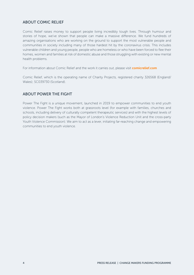# ABOUT COMIC RELIEF

Comic Relief raises money to support people living incredibly tough lives. Through humour and stories of hope, we've shown that people can make a massive difference. We fund hundreds of amazing organisations who are working on the ground to support the most vulnerable people and communities in society including many of those hardest hit by the coronavirus crisis. This includes vulnerable children and young people, people who are homeless or who have been forced to flee their homes, women and families at risk of domestic abuse and those struggling with existing or new mental health problems.

For information about Comic Relief and the work it carries out, please visit [comicrelief.com](https://www.comicrelief.com/)

Comic Relief, which is the operating name of Charity Projects, registered charity 326568 (England/ Wales); SC039730 (Scotland).

## ABOUT POWER THE FIGHT

Power The Fight is a unique movement, launched in 2019 to empower communities to end youth violence. Power The Fight works both at grassroots level (for example with families, churches and schools, including delivery of culturally competent therapeutic services) and with the highest levels of policy decision makers (such as the Mayor of London's Violence Reduction Unit and the cross-party Youth Violence Commission). We aim to act as a lever, initiating far-reaching change and empowering communities to end youth violence.